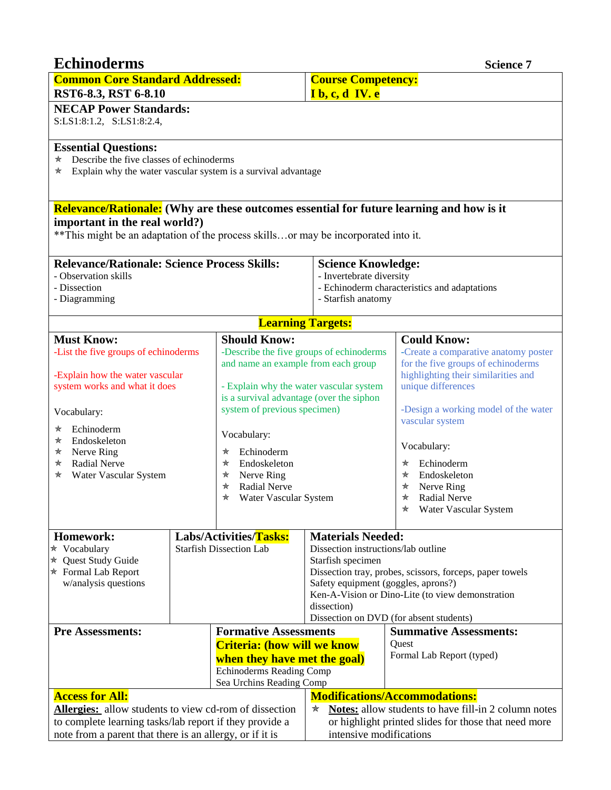| <b>Echinoderms</b><br><b>Science 7</b>                                                                                                                                                                                                       |  |                                                                                                                                                                                                                                                                                  |                                                                                                                                                                                                                                                                                                       |                                                                                                                                                                                                                                                           |  |  |
|----------------------------------------------------------------------------------------------------------------------------------------------------------------------------------------------------------------------------------------------|--|----------------------------------------------------------------------------------------------------------------------------------------------------------------------------------------------------------------------------------------------------------------------------------|-------------------------------------------------------------------------------------------------------------------------------------------------------------------------------------------------------------------------------------------------------------------------------------------------------|-----------------------------------------------------------------------------------------------------------------------------------------------------------------------------------------------------------------------------------------------------------|--|--|
| <b>Common Core Standard Addressed:</b>                                                                                                                                                                                                       |  |                                                                                                                                                                                                                                                                                  | <b>Course Competency:</b>                                                                                                                                                                                                                                                                             |                                                                                                                                                                                                                                                           |  |  |
| RST6-8.3, RST 6-8.10                                                                                                                                                                                                                         |  |                                                                                                                                                                                                                                                                                  | $I b, c, d IV e$                                                                                                                                                                                                                                                                                      |                                                                                                                                                                                                                                                           |  |  |
| <b>NECAP Power Standards:</b>                                                                                                                                                                                                                |  |                                                                                                                                                                                                                                                                                  |                                                                                                                                                                                                                                                                                                       |                                                                                                                                                                                                                                                           |  |  |
| S:LS1:8:1.2, S:LS1:8:2.4,                                                                                                                                                                                                                    |  |                                                                                                                                                                                                                                                                                  |                                                                                                                                                                                                                                                                                                       |                                                                                                                                                                                                                                                           |  |  |
| <b>Essential Questions:</b><br>Describe the five classes of echinoderms<br>★<br>Explain why the water vascular system is a survival advantage<br>★<br>important in the real world?)                                                          |  |                                                                                                                                                                                                                                                                                  |                                                                                                                                                                                                                                                                                                       | Relevance/Rationale: (Why are these outcomes essential for future learning and how is it                                                                                                                                                                  |  |  |
| ** This might be an adaptation of the process skillsor may be incorporated into it.                                                                                                                                                          |  |                                                                                                                                                                                                                                                                                  |                                                                                                                                                                                                                                                                                                       |                                                                                                                                                                                                                                                           |  |  |
| <b>Relevance/Rationale: Science Process Skills:</b><br>- Observation skills                                                                                                                                                                  |  |                                                                                                                                                                                                                                                                                  | <b>Science Knowledge:</b><br>- Invertebrate diversity                                                                                                                                                                                                                                                 |                                                                                                                                                                                                                                                           |  |  |
| - Dissection                                                                                                                                                                                                                                 |  |                                                                                                                                                                                                                                                                                  |                                                                                                                                                                                                                                                                                                       | - Echinoderm characteristics and adaptations                                                                                                                                                                                                              |  |  |
| - Diagramming                                                                                                                                                                                                                                |  | - Starfish anatomy                                                                                                                                                                                                                                                               |                                                                                                                                                                                                                                                                                                       |                                                                                                                                                                                                                                                           |  |  |
|                                                                                                                                                                                                                                              |  |                                                                                                                                                                                                                                                                                  | <b>Learning Targets:</b>                                                                                                                                                                                                                                                                              |                                                                                                                                                                                                                                                           |  |  |
| <b>Must Know:</b>                                                                                                                                                                                                                            |  | <b>Should Know:</b>                                                                                                                                                                                                                                                              |                                                                                                                                                                                                                                                                                                       | <b>Could Know:</b>                                                                                                                                                                                                                                        |  |  |
| -List the five groups of echinoderms<br>-Explain how the water vascular<br>system works and what it does<br>Vocabulary:<br>Echinoderm<br>∗<br>Endoskeleton<br>∗<br>Nerve Ring<br>★<br><b>Radial Nerve</b><br>★<br>Water Vascular System<br>☆ |  | -Describe the five groups of echinoderms<br>and name an example from each group<br>- Explain why the water vascular system<br>is a survival advantage (over the siphon<br>system of previous specimen)<br>Vocabulary:<br>Echinoderm<br>∗<br>Endoskeleton<br>∗<br>Nerve Ring<br>★ |                                                                                                                                                                                                                                                                                                       | -Create a comparative anatomy poster<br>for the five groups of echinoderms<br>highlighting their similarities and<br>unique differences<br>-Design a working model of the water<br>vascular system<br>Vocabulary:<br>Echinoderm<br>∗<br>Endoskeleton<br>★ |  |  |
|                                                                                                                                                                                                                                              |  | <b>Radial Nerve</b><br>★<br>★<br>Water Vascular System                                                                                                                                                                                                                           |                                                                                                                                                                                                                                                                                                       | Nerve Ring<br>∗<br>∗<br><b>Radial Nerve</b><br>Water Vascular System<br>★                                                                                                                                                                                 |  |  |
| <b>Homework:</b><br>$\star$ Vocabulary<br>* Quest Study Guide<br>* Formal Lab Report<br>w/analysis questions                                                                                                                                 |  | Labs/Activities/Tasks:<br><b>Starfish Dissection Lab</b>                                                                                                                                                                                                                         | <b>Materials Needed:</b><br>Dissection instructions/lab outline<br>Starfish specimen<br>Dissection tray, probes, scissors, forceps, paper towels<br>Safety equipment (goggles, aprons?)<br>Ken-A-Vision or Dino-Lite (to view demonstration<br>dissection)<br>Dissection on DVD (for absent students) |                                                                                                                                                                                                                                                           |  |  |
| <b>Pre Assessments:</b>                                                                                                                                                                                                                      |  | <b>Formative Assessments</b>                                                                                                                                                                                                                                                     |                                                                                                                                                                                                                                                                                                       | <b>Summative Assessments:</b>                                                                                                                                                                                                                             |  |  |
|                                                                                                                                                                                                                                              |  | <b>Criteria: (how will we know</b><br>when they have met the goal)<br>Echinoderms Reading Comp<br>Sea Urchins Reading Comp                                                                                                                                                       |                                                                                                                                                                                                                                                                                                       | Quest<br>Formal Lab Report (typed)                                                                                                                                                                                                                        |  |  |
| <b>Access for All:</b><br><b>Allergies:</b> allow students to view cd-rom of dissection<br>to complete learning tasks/lab report if they provide a<br>note from a parent that there is an allergy, or if it is                               |  |                                                                                                                                                                                                                                                                                  | <b>Modifications/Accommodations:</b><br><b>Notes:</b> allow students to have fill-in 2 column notes<br>★<br>or highlight printed slides for those that need more<br>intensive modifications                                                                                                           |                                                                                                                                                                                                                                                           |  |  |